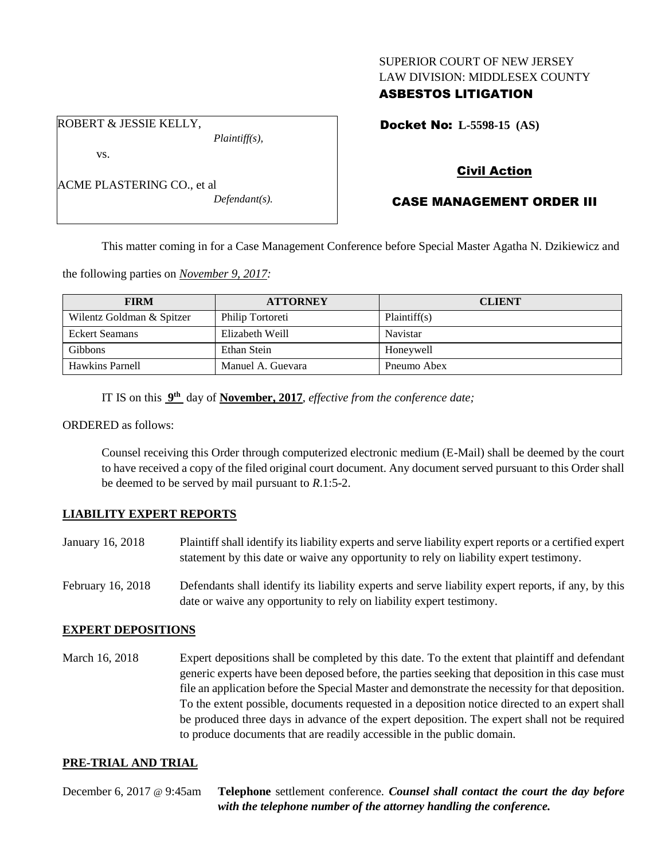### SUPERIOR COURT OF NEW JERSEY LAW DIVISION: MIDDLESEX COUNTY

## ASBESTOS LITIGATION

Docket No: **L-5598-15 (AS)** 

Civil Action

# CASE MANAGEMENT ORDER III

This matter coming in for a Case Management Conference before Special Master Agatha N. Dzikiewicz and

the following parties on *November 9, 2017:*

| <b>FIRM</b>               | <b>ATTORNEY</b>   | <b>CLIENT</b> |
|---------------------------|-------------------|---------------|
| Wilentz Goldman & Spitzer | Philip Tortoreti  | Plaintiff(s)  |
| <b>Eckert Seamans</b>     | Elizabeth Weill   | Navistar      |
| Gibbons                   | Ethan Stein       | Honeywell     |
| <b>Hawkins Parnell</b>    | Manuel A. Guevara | Pneumo Abex   |

IT IS on this  $9<sup>th</sup>$  day of **November, 2017**, *effective from the conference date*;

ORDERED as follows:

Counsel receiving this Order through computerized electronic medium (E-Mail) shall be deemed by the court to have received a copy of the filed original court document. Any document served pursuant to this Order shall be deemed to be served by mail pursuant to *R*.1:5-2.

#### **LIABILITY EXPERT REPORTS**

- January 16, 2018 Plaintiff shall identify its liability experts and serve liability expert reports or a certified expert statement by this date or waive any opportunity to rely on liability expert testimony.
- February 16, 2018 Defendants shall identify its liability experts and serve liability expert reports, if any, by this date or waive any opportunity to rely on liability expert testimony.

#### **EXPERT DEPOSITIONS**

March 16, 2018 Expert depositions shall be completed by this date. To the extent that plaintiff and defendant generic experts have been deposed before, the parties seeking that deposition in this case must file an application before the Special Master and demonstrate the necessity for that deposition. To the extent possible, documents requested in a deposition notice directed to an expert shall be produced three days in advance of the expert deposition. The expert shall not be required to produce documents that are readily accessible in the public domain.

#### **PRE-TRIAL AND TRIAL**

December 6, 2017 @ 9:45am **Telephone** settlement conference*. Counsel shall contact the court the day before with the telephone number of the attorney handling the conference.*

ROBERT & JESSIE KELLY,

vs.

| ACME PLASTERING CO., et al |                  |
|----------------------------|------------------|
|                            | $Defendant(s)$ . |

*Plaintiff(s),*